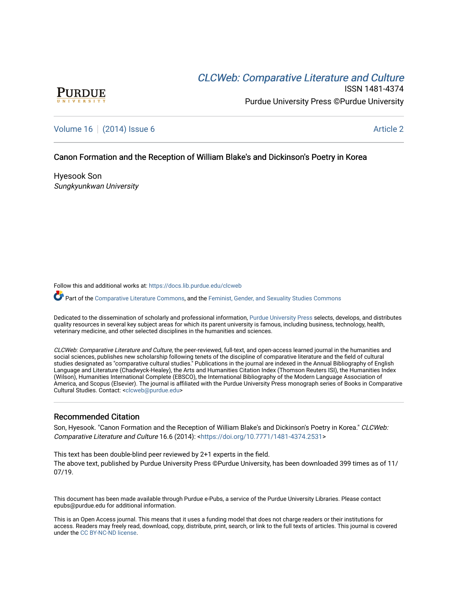# CLCW[eb: Comparative Liter](https://docs.lib.purdue.edu/clcweb)ature and Culture



ISSN 1481-4374 Purdue University Press ©Purdue University

## [Volume 16](https://docs.lib.purdue.edu/clcweb/vol16) | [\(2014\) Issue 6](https://docs.lib.purdue.edu/clcweb/vol16/iss6) Article 2

### Canon Formation and the Reception of William Blake's and Dickinson's Poetry in Korea

Hyesook Son Sungkyunkwan University

Follow this and additional works at: [https://docs.lib.purdue.edu/clcweb](https://docs.lib.purdue.edu/clcweb?utm_source=docs.lib.purdue.edu%2Fclcweb%2Fvol16%2Fiss6%2F2&utm_medium=PDF&utm_campaign=PDFCoverPages)

Part of the [Comparative Literature Commons,](http://network.bepress.com/hgg/discipline/454?utm_source=docs.lib.purdue.edu%2Fclcweb%2Fvol16%2Fiss6%2F2&utm_medium=PDF&utm_campaign=PDFCoverPages) and the [Feminist, Gender, and Sexuality Studies Commons](http://network.bepress.com/hgg/discipline/559?utm_source=docs.lib.purdue.edu%2Fclcweb%2Fvol16%2Fiss6%2F2&utm_medium=PDF&utm_campaign=PDFCoverPages)

Dedicated to the dissemination of scholarly and professional information, [Purdue University Press](http://www.thepress.purdue.edu/) selects, develops, and distributes quality resources in several key subject areas for which its parent university is famous, including business, technology, health, veterinary medicine, and other selected disciplines in the humanities and sciences.

CLCWeb: Comparative Literature and Culture, the peer-reviewed, full-text, and open-access learned journal in the humanities and social sciences, publishes new scholarship following tenets of the discipline of comparative literature and the field of cultural studies designated as "comparative cultural studies." Publications in the journal are indexed in the Annual Bibliography of English Language and Literature (Chadwyck-Healey), the Arts and Humanities Citation Index (Thomson Reuters ISI), the Humanities Index (Wilson), Humanities International Complete (EBSCO), the International Bibliography of the Modern Language Association of America, and Scopus (Elsevier). The journal is affiliated with the Purdue University Press monograph series of Books in Comparative Cultural Studies. Contact: [<clcweb@purdue.edu](mailto:clcweb@purdue.edu)>

#### Recommended Citation

Son, Hyesook. "Canon Formation and the Reception of William Blake's and Dickinson's Poetry in Korea." CLCWeb: Comparative Literature and Culture 16.6 (2014): <<https://doi.org/10.7771/1481-4374.2531>>

This text has been double-blind peer reviewed by 2+1 experts in the field. The above text, published by Purdue University Press ©Purdue University, has been downloaded 399 times as of 11/ 07/19.

This document has been made available through Purdue e-Pubs, a service of the Purdue University Libraries. Please contact epubs@purdue.edu for additional information.

This is an Open Access journal. This means that it uses a funding model that does not charge readers or their institutions for access. Readers may freely read, download, copy, distribute, print, search, or link to the full texts of articles. This journal is covered under the [CC BY-NC-ND license.](https://creativecommons.org/licenses/by-nc-nd/4.0/)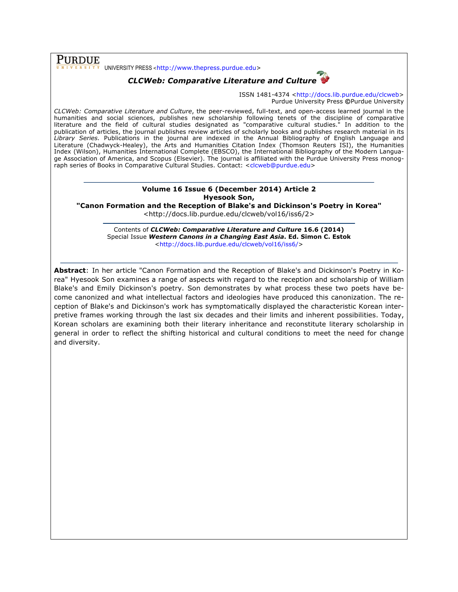PURDUE UNIVERSITY PRESS <http://www.thepress.purdue.edu>

## *CLCWeb: Comparative Literature and Culture*



ISSN 1481-4374 <http://docs.lib.purdue.edu/clcweb> Purdue University Press **©**Purdue University

*CLCWeb: Comparative Literature and Culture*, the peer-reviewed, full-text, and open-access learned journal in the humanities and social sciences, publishes new scholarship following tenets of the discipline of comparative literature and the field of cultural studies designated as "comparative cultural studies." In addition to the publication of articles, the journal publishes review articles of scholarly books and publishes research material in its *Library Series.* Publications in the journal are indexed in the Annual Bibliography of English Language and Literature (Chadwyck-Healey), the Arts and Humanities Citation Index (Thomson Reuters ISI), the Humanities Index (Wilson), Humanities International Complete (EBSCO), the International Bibliography of the Modern Language Association of America, and Scopus (Elsevier). The journal is affiliated with the Purdue University Press monograph series of Books in Comparative Cultural Studies. Contact: <clcweb@purdue.edu>

### **Volume 16 Issue 6 (December 2014) Article 2 Hyesook Son,**

**"Canon Formation and the Reception of Blake's and Dickinson's Poetry in Korea"**

<http://docs.lib.purdue.edu/clcweb/vol16/iss6/2>

Contents of *CLCWeb: Comparative Literature and Culture* **16.6 (2014)** Special Issue *Western Canons in a Changing East Asia***. Ed. Simon C. Estok** <http://docs.lib.purdue.edu/clcweb/vol16/iss6/>

**Abstract**: In her article "Canon Formation and the Reception of Blake's and Dickinson's Poetry in Korea" Hyesook Son examines a range of aspects with regard to the reception and scholarship of William Blake's and Emily Dickinson's poetry. Son demonstrates by what process these two poets have become canonized and what intellectual factors and ideologies have produced this canonization. The reception of Blake's and Dickinson's work has symptomatically displayed the characteristic Korean interpretive frames working through the last six decades and their limits and inherent possibilities. Today, Korean scholars are examining both their literary inheritance and reconstitute literary scholarship in general in order to reflect the shifting historical and cultural conditions to meet the need for change and diversity.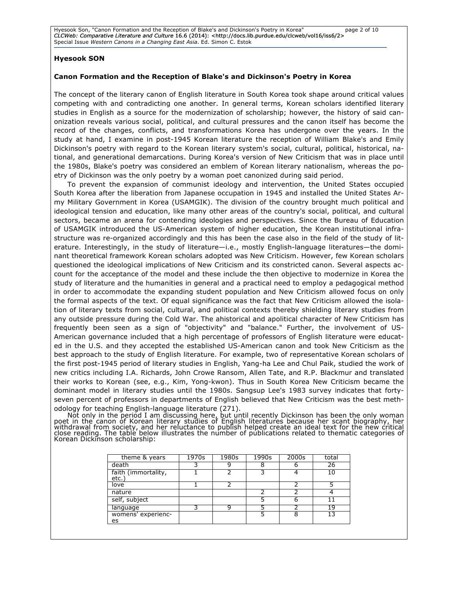Hyesook Son, "Canon Formation and the Reception of Blake's and Dickinson's Poetry in Korea" page 2 of 10 CLCWeb: Comparative Literature and Culture 16.6 (2014): <http://docs.lib.purdue.edu/clcweb/vol16/iss6/2> Special Issue *Western Canons in a Changing East Asia*. Ed. Simon C. Estok

#### **Hyesook SON**

#### **Canon Formation and the Reception of Blake's and Dickinson's Poetry in Korea**

The concept of the literary canon of English literature in South Korea took shape around critical values competing with and contradicting one another. In general terms, Korean scholars identified literary studies in English as a source for the modernization of scholarship; however, the history of said canonization reveals various social, political, and cultural pressures and the canon itself has become the record of the changes, conflicts, and transformations Korea has undergone over the years. In the study at hand, I examine in post-1945 Korean literature the reception of William Blake's and Emily Dickinson's poetry with regard to the Korean literary system's social, cultural, political, historical, national, and generational demarcations. During Korea's version of New Criticism that was in place until the 1980s, Blake's poetry was considered an emblem of Korean literary nationalism, whereas the poetry of Dickinson was the only poetry by a woman poet canonized during said period.

To prevent the expansion of communist ideology and intervention, the United States occupied South Korea after the liberation from Japanese occupation in 1945 and installed the United States Army Military Government in Korea (USAMGIK). The division of the country brought much political and ideological tension and education, like many other areas of the country's social, political, and cultural sectors, became an arena for contending ideologies and perspectives. Since the Bureau of Education of USAMGIK introduced the US-American system of higher education, the Korean institutional infrastructure was re-organized accordingly and this has been the case also in the field of the study of literature. Interestingly, in the study of literature—i.e., mostly English-language literatures—the dominant theoretical framework Korean scholars adopted was New Criticism. However, few Korean scholars questioned the ideological implications of New Criticism and its constricted canon. Several aspects account for the acceptance of the model and these include the then objective to modernize in Korea the study of literature and the humanities in general and a practical need to employ a pedagogical method in order to accommodate the expanding student population and New Criticism allowed focus on only the formal aspects of the text. Of equal significance was the fact that New Criticism allowed the isolation of literary texts from social, cultural, and political contexts thereby shielding literary studies from any outside pressure during the Cold War. The ahistorical and apolitical character of New Criticism has frequently been seen as a sign of "objectivity" and "balance." Further, the involvement of US-American governance included that a high percentage of professors of English literature were educated in the U.S. and they accepted the established US-American canon and took New Criticism as the best approach to the study of English literature. For example, two of representative Korean scholars of the first post-1945 period of literary studies in English, Yang-ha Lee and Chul Paik, studied the work of new critics including I.A. Richards, John Crowe Ransom, Allen Tate, and R.P. Blackmur and translated their works to Korean (see, e.g., Kim, Yong-kwon). Thus in South Korea New Criticism became the dominant model in literary studies until the 1980s. Sangsup Lee's 1983 survey indicates that fortyseven percent of professors in departments of English believed that New Criticism was the best methodology for teaching English-language literature (271).

Not only in the period I am discussing here, but until recently Dickinson has been the only woman<br>poet in the canon of Korean literary studies of English literatures because her scant biography, her<br>withdrawal from society Korean Dickinson scholarship:

| theme & years               | 1970s | 1980s | 1990s | 2000s | total |
|-----------------------------|-------|-------|-------|-------|-------|
| death                       |       |       |       |       | 26    |
| faith (immortality,<br>etc. |       |       |       |       |       |
| love                        |       |       |       |       |       |
| nature                      |       |       |       |       |       |
| self, subject               |       |       |       | 6     |       |
| language                    |       | Q     |       |       | 19    |
| womens' experienc-<br>es    |       |       |       | 8     |       |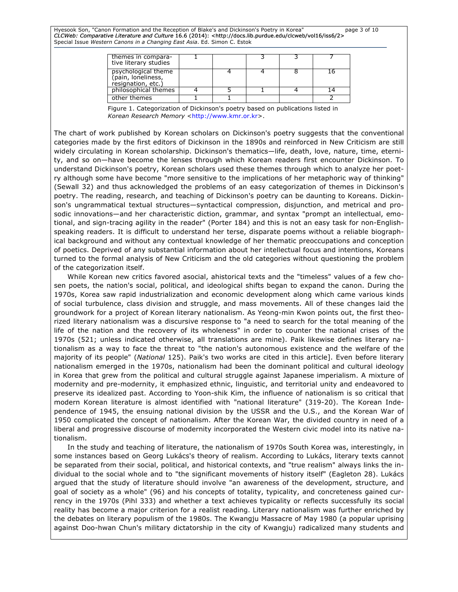Hyesook Son, "Canon Formation and the Reception of Blake's and Dickinson's Poetry in Korea" page 3 of 10 CLCWeb: Comparative Literature and Culture 16.6 (2014): <http://docs.lib.purdue.edu/clcweb/vol16/iss6/2> Special Issue *Western Canons in a Changing East Asia*. Ed. Simon C. Estok

| themes in compara-<br>tive literary studies                     |  |  |  |
|-----------------------------------------------------------------|--|--|--|
| psychological theme<br>(pain, loneliness,<br>resignation, etc.) |  |  |  |
| philosophical themes                                            |  |  |  |
| other themes                                                    |  |  |  |

Figure 1. Categorization of Dickinson's poetry based on publications listed in Korean Research Memory <http://www.kmr.or.kr>.

The chart of work published by Korean scholars on Dickinson's poetry suggests that the conventional categories made by the first editors of Dickinson in the 1890s and reinforced in New Criticism are still widely circulating in Korean scholarship. Dickinson's thematics—life, death, love, nature, time, eternity, and so on—have become the lenses through which Korean readers first encounter Dickinson. To understand Dickinson's poetry, Korean scholars used these themes through which to analyze her poetry although some have become "more sensitive to the implications of her metaphoric way of thinking" (Sewall 32) and thus acknowledged the problems of an easy categorization of themes in Dickinson's poetry. The reading, research, and teaching of Dickinson's poetry can be daunting to Koreans. Dickinson's ungrammatical textual structures—syntactical compression, disjunction, and metrical and prosodic innovations—and her characteristic diction, grammar, and syntax "prompt an intellectual, emotional, and sign-tracing agility in the reader" (Porter 184) and this is not an easy task for non-Englishspeaking readers. It is difficult to understand her terse, disparate poems without a reliable biographical background and without any contextual knowledge of her thematic preoccupations and conception of poetics. Deprived of any substantial information about her intellectual focus and intentions, Koreans turned to the formal analysis of New Criticism and the old categories without questioning the problem of the categorization itself.

While Korean new critics favored asocial, ahistorical texts and the "timeless" values of a few chosen poets, the nation's social, political, and ideological shifts began to expand the canon. During the 1970s, Korea saw rapid industrialization and economic development along which came various kinds of social turbulence, class division and struggle, and mass movements. All of these changes laid the groundwork for a project of Korean literary nationalism. As Yeong-min Kwon points out, the first theorized literary nationalism was a discursive response to "a need to search for the total meaning of the life of the nation and the recovery of its wholeness" in order to counter the national crises of the 1970s (521; unless indicated otherwise, all translations are mine). Paik likewise defines literary nationalism as a way to face the threat to "the nation's autonomous existence and the welfare of the majority of its people" (*National* 125). Paik's two works are cited in this article]. Even before literary nationalism emerged in the 1970s, nationalism had been the dominant political and cultural ideology in Korea that grew from the political and cultural struggle against Japanese imperialism. A mixture of modernity and pre-modernity, it emphasized ethnic, linguistic, and territorial unity and endeavored to preserve its idealized past. According to Yoon-shik Kim, the influence of nationalism is so critical that modern Korean literature is almost identified with "national literature" (319-20). The Korean Independence of 1945, the ensuing national division by the USSR and the U.S., and the Korean War of 1950 complicated the concept of nationalism. After the Korean War, the divided country in need of a liberal and progressive discourse of modernity incorporated the Western civic model into its native nationalism.

In the study and teaching of literature, the nationalism of 1970s South Korea was, interestingly, in some instances based on Georg Lukács's theory of realism. According to Lukács, literary texts cannot be separated from their social, political, and historical contexts, and "true realism" always links the individual to the social whole and to "the significant movements of history itself" (Eagleton 28). Lukács argued that the study of literature should involve "an awareness of the development, structure, and goal of society as a whole" (96) and his concepts of totality, typicality, and concreteness gained currency in the 1970s (Pihl 333) and whether a text achieves typicality or reflects successfully its social reality has become a major criterion for a realist reading. Literary nationalism was further enriched by the debates on literary populism of the 1980s. The Kwangju Massacre of May 1980 (a popular uprising against Doo-hwan Chun's military dictatorship in the city of Kwangju) radicalized many students and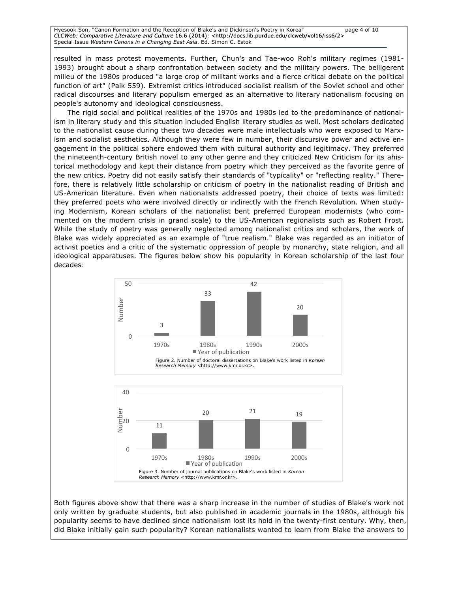Hyesook Son, "Canon Formation and the Reception of Blake's and Dickinson's Poetry in Korea" page 4 of 10 CLCWeb: Comparative Literature and Culture 16.6 (2014): <http://docs.lib.purdue.edu/clcweb/vol16/iss6/2> Special Issue *Western Canons in a Changing East Asia*. Ed. Simon C. Estok

resulted in mass protest movements. Further, Chun's and Tae-woo Roh's military regimes (1981- 1993) brought about a sharp confrontation between society and the military powers. The belligerent milieu of the 1980s produced "a large crop of militant works and a fierce critical debate on the political function of art" (Paik 559). Extremist critics introduced socialist realism of the Soviet school and other radical discourses and literary populism emerged as an alternative to literary nationalism focusing on people's autonomy and ideological consciousness.

The rigid social and political realities of the 1970s and 1980s led to the predominance of nationalism in literary study and this situation included English literary studies as well. Most scholars dedicated to the nationalist cause during these two decades were male intellectuals who were exposed to Marxism and socialist aesthetics. Although they were few in number, their discursive power and active engagement in the political sphere endowed them with cultural authority and legitimacy. They preferred the nineteenth-century British novel to any other genre and they criticized New Criticism for its ahistorical methodology and kept their distance from poetry which they perceived as the favorite genre of the new critics. Poetry did not easily satisfy their standards of "typicality" or "reflecting reality." Therefore, there is relatively little scholarship or criticism of poetry in the nationalist reading of British and US-American literature. Even when nationalists addressed poetry, their choice of texts was limited: they preferred poets who were involved directly or indirectly with the French Revolution. When studying Modernism, Korean scholars of the nationalist bent preferred European modernists (who commented on the modern crisis in grand scale) to the US-American regionalists such as Robert Frost. While the study of poetry was generally neglected among nationalist critics and scholars, the work of Blake was widely appreciated as an example of "true realism." Blake was regarded as an initiator of activist poetics and a critic of the systematic oppression of people by monarchy, state religion, and all ideological apparatuses. The figures below show his popularity in Korean scholarship of the last four decades:



Both figures above show that there was a sharp increase in the number of studies of Blake's work not only written by graduate students, but also published in academic journals in the 1980s, although his popularity seems to have declined since nationalism lost its hold in the twenty-first century. Why, then, did Blake initially gain such popularity? Korean nationalists wanted to learn from Blake the answers to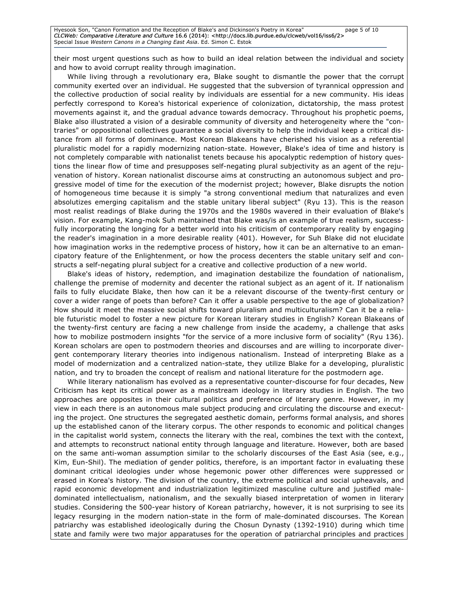Hyesook Son, "Canon Formation and the Reception of Blake's and Dickinson's Poetry in Korea" page 5 of 10 CLCWeb: Comparative Literature and Culture 16.6 (2014): <http://docs.lib.purdue.edu/clcweb/vol16/iss6/2> Special Issue *Western Canons in a Changing East Asia*. Ed. Simon C. Estok

their most urgent questions such as how to build an ideal relation between the individual and society and how to avoid corrupt reality through imagination.

While living through a revolutionary era, Blake sought to dismantle the power that the corrupt community exerted over an individual. He suggested that the subversion of tyrannical oppression and the collective production of social reality by individuals are essential for a new community. His ideas perfectly correspond to Korea's historical experience of colonization, dictatorship, the mass protest movements against it, and the gradual advance towards democracy. Throughout his prophetic poems, Blake also illustrated a vision of a desirable community of diversity and heterogeneity where the "contraries" or oppositional collectives guarantee a social diversity to help the individual keep a critical distance from all forms of dominance. Most Korean Blakeans have cherished his vision as a referential pluralistic model for a rapidly modernizing nation-state. However, Blake's idea of time and history is not completely comparable with nationalist tenets because his apocalyptic redemption of history questions the linear flow of time and presupposes self-negating plural subjectivity as an agent of the rejuvenation of history. Korean nationalist discourse aims at constructing an autonomous subject and progressive model of time for the execution of the modernist project; however, Blake disrupts the notion of homogeneous time because it is simply "a strong conventional medium that naturalizes and even absolutizes emerging capitalism and the stable unitary liberal subject" (Ryu 13). This is the reason most realist readings of Blake during the 1970s and the 1980s wavered in their evaluation of Blake's vision. For example, Kang-mok Suh maintained that Blake was/is an example of true realism, successfully incorporating the longing for a better world into his criticism of contemporary reality by engaging the reader's imagination in a more desirable reality (401). However, for Suh Blake did not elucidate how imagination works in the redemptive process of history, how it can be an alternative to an emancipatory feature of the Enlightenment, or how the process decenters the stable unitary self and constructs a self-negating plural subject for a creative and collective production of a new world.

Blake's ideas of history, redemption, and imagination destabilize the foundation of nationalism, challenge the premise of modernity and decenter the rational subject as an agent of it. If nationalism fails to fully elucidate Blake, then how can it be a relevant discourse of the twenty-first century or cover a wider range of poets than before? Can it offer a usable perspective to the age of globalization? How should it meet the massive social shifts toward pluralism and multiculturalism? Can it be a reliable futuristic model to foster a new picture for Korean literary studies in English? Korean Blakeans of the twenty-first century are facing a new challenge from inside the academy, a challenge that asks how to mobilize postmodern insights "for the service of a more inclusive form of sociality" (Ryu 136). Korean scholars are open to postmodern theories and discourses and are willing to incorporate divergent contemporary literary theories into indigenous nationalism. Instead of interpreting Blake as a model of modernization and a centralized nation-state, they utilize Blake for a developing, pluralistic nation, and try to broaden the concept of realism and national literature for the postmodern age.

While literary nationalism has evolved as a representative counter-discourse for four decades, New Criticism has kept its critical power as a mainstream ideology in literary studies in English. The two approaches are opposites in their cultural politics and preference of literary genre. However, in my view in each there is an autonomous male subject producing and circulating the discourse and executing the project. One structures the segregated aesthetic domain, performs formal analysis, and shores up the established canon of the literary corpus. The other responds to economic and political changes in the capitalist world system, connects the literary with the real, combines the text with the context, and attempts to reconstruct national entity through language and literature. However, both are based on the same anti-woman assumption similar to the scholarly discourses of the East Asia (see, e.g., Kim, Eun-Shil). The mediation of gender politics, therefore, is an important factor in evaluating these dominant critical ideologies under whose hegemonic power other differences were suppressed or erased in Korea's history. The division of the country, the extreme political and social upheavals, and rapid economic development and industrialization legitimized masculine culture and justified maledominated intellectualism, nationalism, and the sexually biased interpretation of women in literary studies. Considering the 500-year history of Korean patriarchy, however, it is not surprising to see its legacy resurging in the modern nation-state in the form of male-dominated discourses. The Korean patriarchy was established ideologically during the Chosun Dynasty (1392-1910) during which time state and family were two major apparatuses for the operation of patriarchal principles and practices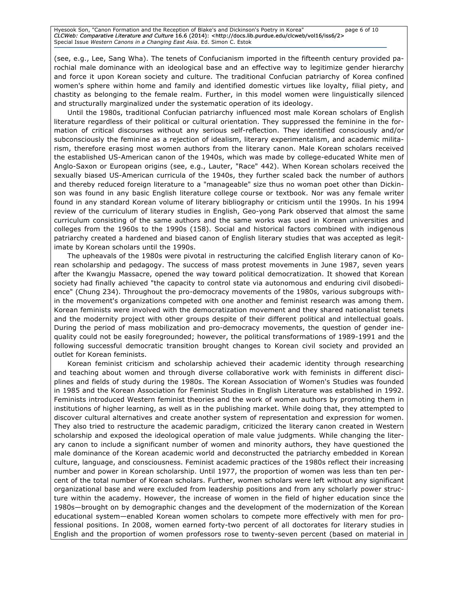Hyesook Son, "Canon Formation and the Reception of Blake's and Dickinson's Poetry in Korea" page 6 of 10 CLCWeb: Comparative Literature and Culture 16.6 (2014): <http://docs.lib.purdue.edu/clcweb/vol16/iss6/2> Special Issue *Western Canons in a Changing East Asia*. Ed. Simon C. Estok

(see, e.g., Lee, Sang Wha). The tenets of Confucianism imported in the fifteenth century provided parochial male dominance with an ideological base and an effective way to legitimize gender hierarchy and force it upon Korean society and culture. The traditional Confucian patriarchy of Korea confined women's sphere within home and family and identified domestic virtues like loyalty, filial piety, and chastity as belonging to the female realm. Further, in this model women were linguistically silenced and structurally marginalized under the systematic operation of its ideology.

Until the 1980s, traditional Confucian patriarchy influenced most male Korean scholars of English literature regardless of their political or cultural orientation. They suppressed the feminine in the formation of critical discourses without any serious self-reflection. They identified consciously and/or subconsciously the feminine as a rejection of idealism, literary experimentalism, and academic militarism, therefore erasing most women authors from the literary canon. Male Korean scholars received the established US-American canon of the 1940s, which was made by college-educated White men of Anglo-Saxon or European origins (see, e.g., Lauter, "Race" 442). When Korean scholars received the sexually biased US-American curricula of the 1940s, they further scaled back the number of authors and thereby reduced foreign literature to a "manageable" size thus no woman poet other than Dickinson was found in any basic English literature college course or textbook. Nor was any female writer found in any standard Korean volume of literary bibliography or criticism until the 1990s. In his 1994 review of the curriculum of literary studies in English, Geo-yong Park observed that almost the same curriculum consisting of the same authors and the same works was used in Korean universities and colleges from the 1960s to the 1990s (158). Social and historical factors combined with indigenous patriarchy created a hardened and biased canon of English literary studies that was accepted as legitimate by Korean scholars until the 1990s.

The upheavals of the 1980s were pivotal in restructuring the calcified English literary canon of Korean scholarship and pedagogy. The success of mass protest movements in June 1987, seven years after the Kwangju Massacre, opened the way toward political democratization. It showed that Korean society had finally achieved "the capacity to control state via autonomous and enduring civil disobedience" (Chung 234). Throughout the pro-democracy movements of the 1980s, various subgroups within the movement's organizations competed with one another and feminist research was among them. Korean feminists were involved with the democratization movement and they shared nationalist tenets and the modernity project with other groups despite of their different political and intellectual goals. During the period of mass mobilization and pro-democracy movements, the question of gender inequality could not be easily foregrounded; however, the political transformations of 1989-1991 and the following successful democratic transition brought changes to Korean civil society and provided an outlet for Korean feminists.

Korean feminist criticism and scholarship achieved their academic identity through researching and teaching about women and through diverse collaborative work with feminists in different disciplines and fields of study during the 1980s. The Korean Association of Women's Studies was founded in 1985 and the Korean Association for Feminist Studies in English Literature was established in 1992. Feminists introduced Western feminist theories and the work of women authors by promoting them in institutions of higher learning, as well as in the publishing market. While doing that, they attempted to discover cultural alternatives and create another system of representation and expression for women. They also tried to restructure the academic paradigm, criticized the literary canon created in Western scholarship and exposed the ideological operation of male value judgments. While changing the literary canon to include a significant number of women and minority authors, they have questioned the male dominance of the Korean academic world and deconstructed the patriarchy embedded in Korean culture, language, and consciousness. Feminist academic practices of the 1980s reflect their increasing number and power in Korean scholarship. Until 1977, the proportion of women was less than ten percent of the total number of Korean scholars. Further, women scholars were left without any significant organizational base and were excluded from leadership positions and from any scholarly power structure within the academy. However, the increase of women in the field of higher education since the 1980s—brought on by demographic changes and the development of the modernization of the Korean educational system—enabled Korean women scholars to compete more effectively with men for professional positions. In 2008, women earned forty-two percent of all doctorates for literary studies in English and the proportion of women professors rose to twenty-seven percent (based on material in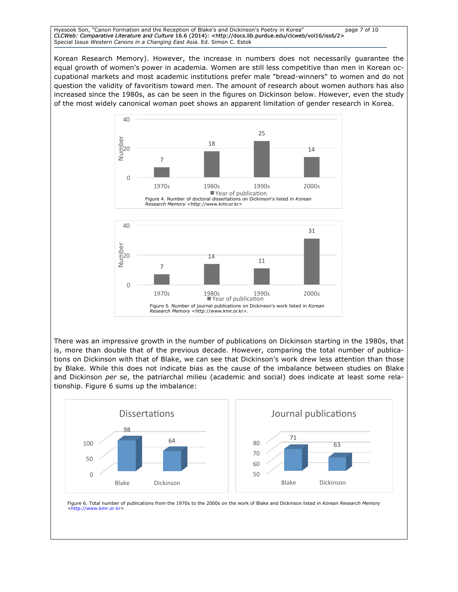#### Hyesook Son, "Canon Formation and the Reception of Blake's and Dickinson's Poetry in Korea" page 7 of 10 CLCWeb: Comparative Literature and Culture 16.6 (2014): <http://docs.lib.purdue.edu/clcweb/vol16/iss6/2> Special Issue *Western Canons in a Changing East Asia*. Ed. Simon C. Estok

Korean Research Memory). However, the increase in numbers does not necessarily guarantee the equal growth of women's power in academia. Women are still less competitive than men in Korean occupational markets and most academic institutions prefer male "bread-winners" to women and do not question the validity of favoritism toward men. The amount of research about women authors has also increased since the 1980s, as can be seen in the figures on Dickinson below. However, even the study of the most widely canonical woman poet shows an apparent limitation of gender research in Korea.





There was an impressive growth in the number of publications on Dickinson starting in the 1980s, that is, more than double that of the previous decade. However, comparing the total number of publications on Dickinson with that of Blake, we can see that Dickinson's work drew less attention than those by Blake. While this does not indicate bias as the cause of the imbalance between studies on Blake and Dickinson *per se*, the patriarchal milieu (academic and social) does indicate at least some relationship. Figure 6 sums up the imbalance:



Figure 6. Total number of publications from the 1970s to the 2000s on the work of Blake and Dickinson listed in *Korean Research Memory* <http://www.kmr.or.kr>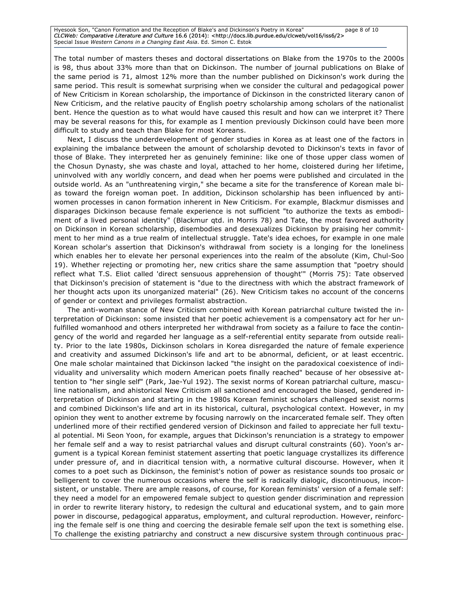Hyesook Son, "Canon Formation and the Reception of Blake's and Dickinson's Poetry in Korea" page 8 of 10 CLCWeb: Comparative Literature and Culture 16.6 (2014): <http://docs.lib.purdue.edu/clcweb/vol16/iss6/2> Special Issue *Western Canons in a Changing East Asia*. Ed. Simon C. Estok

The total number of masters theses and doctoral dissertations on Blake from the 1970s to the 2000s is 98, thus about 33% more than that on Dickinson. The number of journal publications on Blake of the same period is 71, almost 12% more than the number published on Dickinson's work during the same period. This result is somewhat surprising when we consider the cultural and pedagogical power of New Criticism in Korean scholarship, the importance of Dickinson in the constricted literary canon of New Criticism, and the relative paucity of English poetry scholarship among scholars of the nationalist bent. Hence the question as to what would have caused this result and how can we interpret it? There may be several reasons for this, for example as I mention previously Dickinson could have been more difficult to study and teach than Blake for most Koreans.

Next, I discuss the underdevelopment of gender studies in Korea as at least one of the factors in explaining the imbalance between the amount of scholarship devoted to Dickinson's texts in favor of those of Blake. They interpreted her as genuinely feminine: like one of those upper class women of the Chosun Dynasty, she was chaste and loyal, attached to her home, cloistered during her lifetime, uninvolved with any worldly concern, and dead when her poems were published and circulated in the outside world. As an "unthreatening virgin," she became a site for the transference of Korean male bias toward the foreign woman poet. In addition, Dickinson scholarship has been influenced by antiwomen processes in canon formation inherent in New Criticism. For example, Blackmur dismisses and disparages Dickinson because female experience is not sufficient "to authorize the texts as embodiment of a lived personal identity" (Blackmur qtd. in Morris 78) and Tate, the most favored authority on Dickinson in Korean scholarship, disembodies and desexualizes Dickinson by praising her commitment to her mind as a true realm of intellectual struggle. Tate's idea echoes, for example in one male Korean scholar's assertion that Dickinson's withdrawal from society is a longing for the loneliness which enables her to elevate her personal experiences into the realm of the absolute (Kim, Chul-Soo 19). Whether rejecting or promoting her, new critics share the same assumption that "poetry should reflect what T.S. Eliot called 'direct sensuous apprehension of thought'" (Morris 75): Tate observed that Dickinson's precision of statement is "due to the directness with which the abstract framework of her thought acts upon its unorganized material" (26). New Criticism takes no account of the concerns of gender or context and privileges formalist abstraction.

The anti-woman stance of New Criticism combined with Korean patriarchal culture twisted the interpretation of Dickinson: some insisted that her poetic achievement is a compensatory act for her unfulfilled womanhood and others interpreted her withdrawal from society as a failure to face the contingency of the world and regarded her language as a self-referential entity separate from outside reality. Prior to the late 1980s, Dickinson scholars in Korea disregarded the nature of female experience and creativity and assumed Dickinson's life and art to be abnormal, deficient, or at least eccentric. One male scholar maintained that Dickinson lacked "the insight on the paradoxical coexistence of individuality and universality which modern American poets finally reached" because of her obsessive attention to "her single self" (Park, Jae-Yul 192). The sexist norms of Korean patriarchal culture, masculine nationalism, and ahistorical New Criticism all sanctioned and encouraged the biased, gendered interpretation of Dickinson and starting in the 1980s Korean feminist scholars challenged sexist norms and combined Dickinson's life and art in its historical, cultural, psychological context. However, in my opinion they went to another extreme by focusing narrowly on the incarcerated female self. They often underlined more of their rectified gendered version of Dickinson and failed to appreciate her full textual potential. Mi Seon Yoon, for example, argues that Dickinson's renunciation is a strategy to empower her female self and a way to resist patriarchal values and disrupt cultural constraints (60). Yoon's argument is a typical Korean feminist statement asserting that poetic language crystallizes its difference under pressure of, and in diacritical tension with, a normative cultural discourse. However, when it comes to a poet such as Dickinson, the feminist's notion of power as resistance sounds too prosaic or belligerent to cover the numerous occasions where the self is radically dialogic, discontinuous, inconsistent, or unstable. There are ample reasons, of course, for Korean feminists' version of a female self: they need a model for an empowered female subject to question gender discrimination and repression in order to rewrite literary history, to redesign the cultural and educational system, and to gain more power in discourse, pedagogical apparatus, employment, and cultural reproduction. However, reinforcing the female self is one thing and coercing the desirable female self upon the text is something else. To challenge the existing patriarchy and construct a new discursive system through continuous prac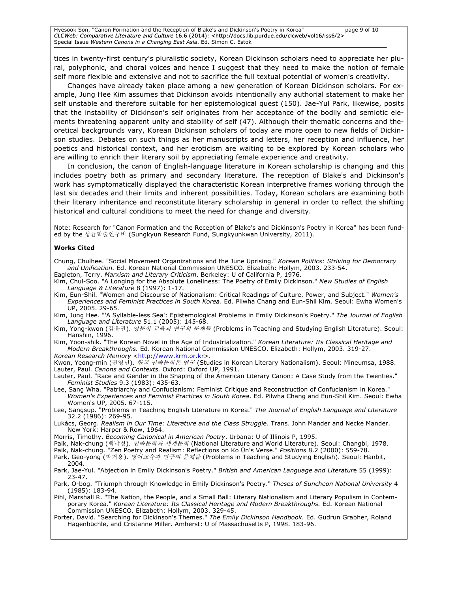Hyesook Son, "Canon Formation and the Reception of Blake's and Dickinson's Poetry in Korea" page 9 of 10 CLCWeb: Comparative Literature and Culture 16.6 (2014): <http://docs.lib.purdue.edu/clcweb/vol16/iss6/2> Special Issue *Western Canons in a Changing East Asia*. Ed. Simon C. Estok

tices in twenty-first century's pluralistic society, Korean Dickinson scholars need to appreciate her plural, polyphonic, and choral voices and hence I suggest that they need to make the notion of female self more flexible and extensive and not to sacrifice the full textual potential of women's creativity.

Changes have already taken place among a new generation of Korean Dickinson scholars. For example, Jung Hee Kim assumes that Dickinson avoids intentionally any authorial statement to make her self unstable and therefore suitable for her epistemological quest (150). Jae-Yul Park, likewise, posits that the instability of Dickinson's self originates from her acceptance of the bodily and semiotic elements threatening apparent unity and stability of self (47). Although their thematic concerns and theoretical backgrounds vary, Korean Dickinson scholars of today are more open to new fields of Dickinson studies. Debates on such things as her manuscripts and letters, her reception and influence, her poetics and historical context, and her eroticism are waiting to be explored by Korean scholars who are willing to enrich their literary soil by appreciating female experience and creativity.

In conclusion, the canon of English-language literature in Korean scholarship is changing and this includes poetry both as primary and secondary literature. The reception of Blake's and Dickinson's work has symptomatically displayed the characteristic Korean interpretive frames working through the last six decades and their limits and inherent possibilities. Today, Korean scholars are examining both their literary inheritance and reconstitute literary scholarship in general in order to reflect the shifting historical and cultural conditions to meet the need for change and diversity.

Note: Research for "Canon Formation and the Reception of Blake's and Dickinson's Poetry in Korea" has been funded by the 성균학술연구비 (Sungkyun Research Fund, Sungkyunkwan University, 2011).

#### **Works Cited**

Chung, Chulhee. "Social Movement Organizations and the June Uprising." *Korean Politics: Striving for Democracy and Unification.* Ed. Korean National Commission UNESCO. Elizabeth: Hollym, 2003. 233-54.

Eagleton, Terry. *Marxism and Literary Criticism*. Berkeley: U of California P, 1976.

- Kim, Chul-Soo. "A Longing for the Absolute Loneliness: The Poetry of Emily Dickinson." *New Studies of English Language & Literature* 8 (1997): 1-17.
- Kim, Eun-Shil. "Women and Discourse of Nationalism: Critical Readings of Culture, Power, and Subject." *Women's Experiences and Feminist Practices in South Korea*. Ed. Pilwha Chang and Eun-Shil Kim. Seoul: Ewha Women's UP, 2005. 29-65.
- Kim, Jung Hee. "'A Syllable-less Sea': Epistemological Problems in Emily Dickinson's Poetry." *The Journal of English Language and Literature* 51.1 (2005): 145-68.
- Kim, Yong-kwon (김용권). 영문학 교육과 연구의 문제들 (Problems in Teaching and Studying English Literature). Seoul: Hanshin, 1996.
- Kim, Yoon-shik. "The Korean Novel in the Age of Industrialization." *Korean Literature: Its Classical Heritage and Modern Breakthroughs.* Ed. Korean National Commission UNESCO. Elizabeth: Hollym, 2003. 319-27. Korean Research Memory <http://www.krm.or.kr>.

Kwon, Yeong-min (권영민). 한국 민족문학론 연구 (Studies in Korean Literary Nationalism). Seoul: Mineumsa, 1988. Lauter, Paul. *Canons and Contexts.* Oxford: Oxford UP, 1991.

- Lauter, Paul. "Race and Gender in the Shaping of the American Literary Canon: A Case Study from the Twenties." *Feminist Studies* 9.3 (1983): 435-63.
- Lee, Sang Wha. "Patriarchy and Confucianism: Feminist Critique and Reconstruction of Confucianism in Korea." *Women's Experiences and Feminist Practices in South Korea*. Ed. Pilwha Chang and Eun-Shil Kim. Seoul: Ewha Women's UP, 2005. 67-115.
- Lee, Sangsup. "Problems in Teaching English Literature in Korea." *The Journal of English Language and Literature* 32.2 (1986): 269-95.
- Lukács, Georg. *Realism in Our Time: Literature and the Class Struggle*. Trans. John Mander and Necke Mander. New York: Harper & Row, 1964.
- Morris, Timothy. *Becoming Canonical in American Poetry*. Urbana: U of Illinois P, 1995.
- Paik, Nak-chung (백낙청). 민족문학과 세계문학 (National Literature and World Literature). Seoul: Changbi, 1978.
- Paik, Nak-chung. "Zen Poetry and Realism: Reflections on Ko Ūn's Verse." *Positions* 8.2 (2000): 559-78.
- Park, Geo-yong (박거용). 영어교육과 연구의 문제들 (Problems in Teaching and Studying English). Seoul: Hanbit, 2004.
- Park, Jae-Yul. "Abjection in Emily Dickinson's Poetry." *British and American Language and Literatur*e 55 (1999): 23-47.
- Park, O-bog. "Triumph through Knowledge in Emily Dickinson's Poetry." *Theses of Suncheon National University* 4 (1985): 183-94.
- Pihl, Marshall R. "The Nation, the People, and a Small Ball: Literary Nationalism and Literary Populism in Contemporary Korea." *Korean Literature: Its Classical Heritage and Modern Breakthroughs.* Ed. Korean National Commission UNESCO. Elizabeth: Hollym, 2003. 329-45.
- Porter, David. "Searching for Dickinson's Themes." *The Emily Dickinson Handbook.* Ed. Gudrun Grabher, Roland Hagenbüchle, and Cristanne Miller. Amherst: U of Massachusetts P, 1998. 183-96.